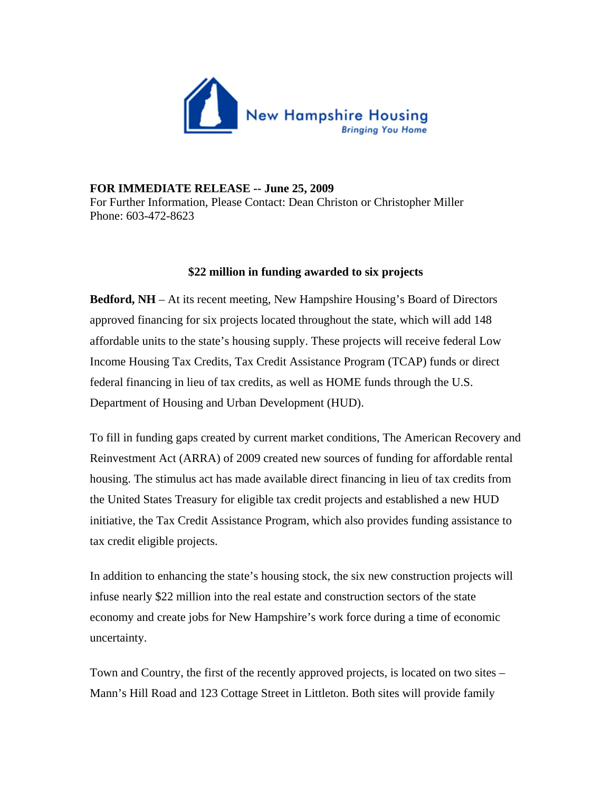

## **FOR IMMEDIATE RELEASE -- June 25, 2009**

For Further Information, Please Contact: Dean Christon or Christopher Miller Phone: 603-472-8623

## **\$22 million in funding awarded to six projects**

**Bedford, NH** – At its recent meeting, New Hampshire Housing's Board of Directors approved financing for six projects located throughout the state, which will add 148 affordable units to the state's housing supply. These projects will receive federal Low Income Housing Tax Credits, Tax Credit Assistance Program (TCAP) funds or direct federal financing in lieu of tax credits, as well as HOME funds through the U.S. Department of Housing and Urban Development (HUD).

To fill in funding gaps created by current market conditions, The American Recovery and Reinvestment Act (ARRA) of 2009 created new sources of funding for affordable rental housing. The stimulus act has made available direct financing in lieu of tax credits from the United States Treasury for eligible tax credit projects and established a new HUD initiative, the Tax Credit Assistance Program, which also provides funding assistance to tax credit eligible projects.

In addition to enhancing the state's housing stock, the six new construction projects will infuse nearly \$22 million into the real estate and construction sectors of the state economy and create jobs for New Hampshire's work force during a time of economic uncertainty.

Town and Country, the first of the recently approved projects, is located on two sites – Mann's Hill Road and 123 Cottage Street in Littleton. Both sites will provide family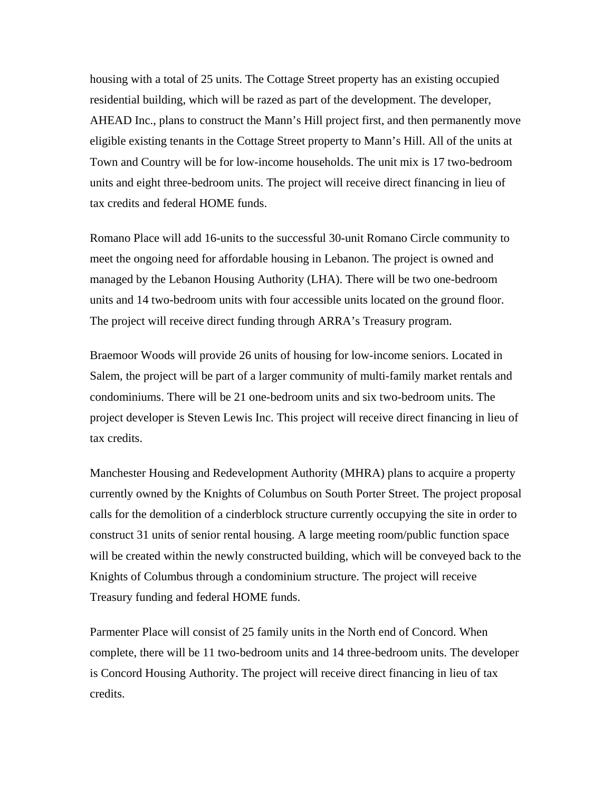housing with a total of 25 units. The Cottage Street property has an existing occupied residential building, which will be razed as part of the development. The developer, AHEAD Inc., plans to construct the Mann's Hill project first, and then permanently move eligible existing tenants in the Cottage Street property to Mann's Hill. All of the units at Town and Country will be for low-income households. The unit mix is 17 two-bedroom units and eight three-bedroom units. The project will receive direct financing in lieu of tax credits and federal HOME funds.

Romano Place will add 16-units to the successful 30-unit Romano Circle community to meet the ongoing need for affordable housing in Lebanon. The project is owned and managed by the Lebanon Housing Authority (LHA). There will be two one-bedroom units and 14 two-bedroom units with four accessible units located on the ground floor. The project will receive direct funding through ARRA's Treasury program.

Braemoor Woods will provide 26 units of housing for low-income seniors. Located in Salem, the project will be part of a larger community of multi-family market rentals and condominiums. There will be 21 one-bedroom units and six two-bedroom units. The project developer is Steven Lewis Inc. This project will receive direct financing in lieu of tax credits.

Manchester Housing and Redevelopment Authority (MHRA) plans to acquire a property currently owned by the Knights of Columbus on South Porter Street. The project proposal calls for the demolition of a cinderblock structure currently occupying the site in order to construct 31 units of senior rental housing. A large meeting room/public function space will be created within the newly constructed building, which will be conveyed back to the Knights of Columbus through a condominium structure. The project will receive Treasury funding and federal HOME funds.

Parmenter Place will consist of 25 family units in the North end of Concord. When complete, there will be 11 two-bedroom units and 14 three-bedroom units. The developer is Concord Housing Authority. The project will receive direct financing in lieu of tax credits.